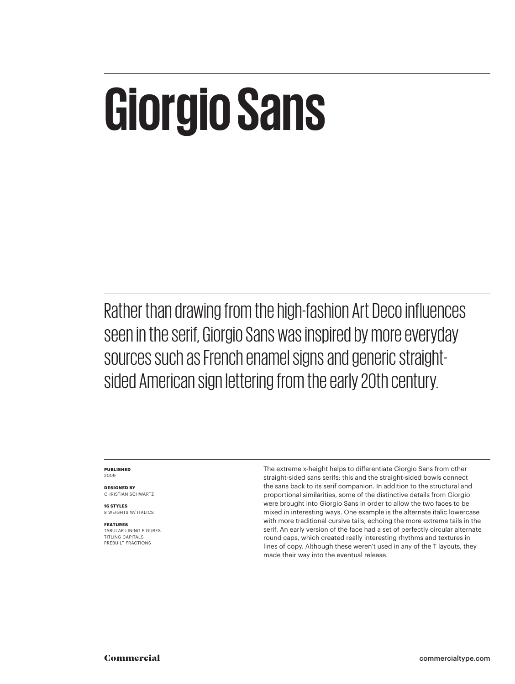## **Giorgio Sans**

Rather than drawing from the high-fashion Art Deco influences seen in the serif, Giorgio Sans was inspired by more everyday sources such as French enamel signs and generic straightsided American sign lettering from the early 20th century.

#### **PUBLISHED** 2009

**DESIGNED BY** CHRISTIAN SCHWARTZ

**16 STYLES** 8 WEIGHTS W/ ITALICS

**FEATURES** TABULAR LINING FIGURES TITLING CAPITALS PREBUILT FRACTIONS

The extreme x-height helps to differentiate Giorgio Sans from other straight-sided sans serifs; this and the straight-sided bowls connect the sans back to its serif companion. In addition to the structural and proportional similarities, some of the distinctive details from Giorgio were brought into Giorgio Sans in order to allow the two faces to be mixed in interesting ways. One example is the alternate italic lowercase with more traditional cursive tails, echoing the more extreme tails in the serif. An early version of the face had a set of perfectly circular alternate round caps, which created really interesting rhythms and textures in lines of copy. Although these weren't used in any of the T layouts, they made their way into the eventual release.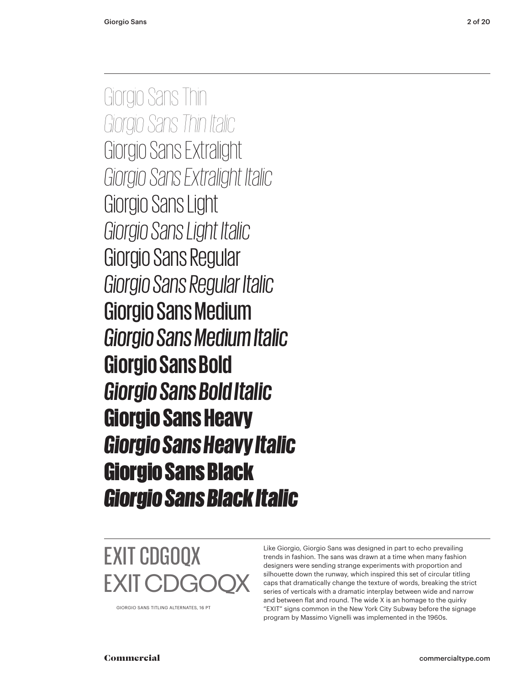Giorgio Sans Thin *Giorgio Sans Thin Italic* Giorgio Sans Extralight *Giorgio Sans Extralight Italic* Giorgio Sans Light *Giorgio Sans Light Italic* Giorgio Sans Regular *Giorgio Sans Regular Italic* Giorgio Sans Medium *Giorgio Sans Medium Italic* **Giorgio Sans Bold** *Giorgio Sans Bold Italic* Giorgio Sans Heavy *Giorgio Sans Heavy Italic* Giorgio Sans Black *Giorgio Sans Black Italic*



GIORGIO SANS TITLING ALTERNATES, 16 PT

Like Giorgio, Giorgio Sans was designed in part to echo prevailing trends in fashion. The sans was drawn at a time when many fashion designers were sending strange experiments with proportion and silhouette down the runway, which inspired this set of circular titling caps that dramatically change the texture of words, breaking the strict series of verticals with a dramatic interplay between wide and narrow and between flat and round. The wide X is an homage to the quirky "EXIT" signs common in the New York City Subway before the signage program by Massimo Vignelli was implemented in the 1960s.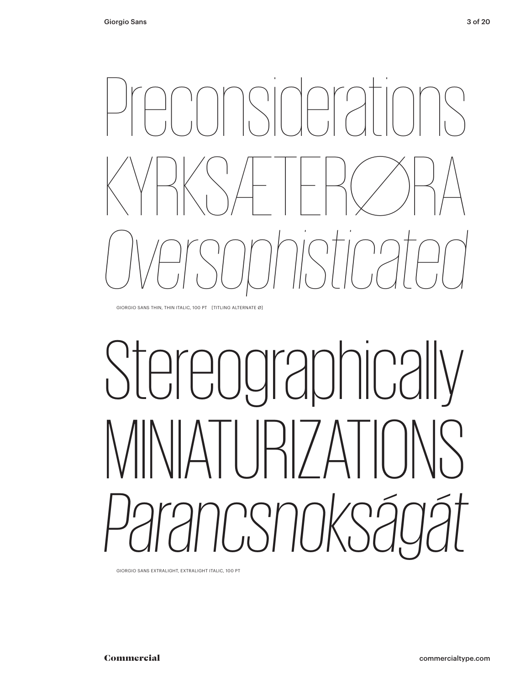

GIORGIO SANS THIN, THIN ITALIC, 100 PT [TITLING ALTERNATE Ø]

# Stereographically MINIATURIZATIONS *Parancsnokságát*

GIORGIO SANS EXTRALIGHT, EXTRALIGHT ITALIC, 100 PT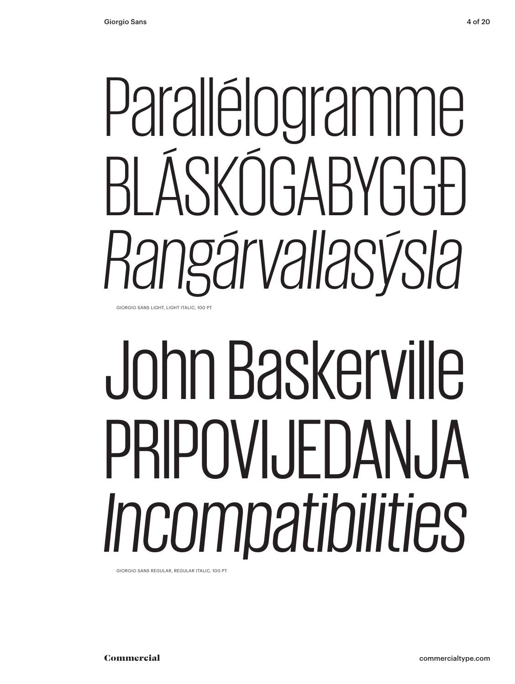# Parallélogramme BLÁSKÓGABYGGÐ *Rangárvallasýsla*

GIORGIO SANS LIGHT, LIGHT ITALIC, 100 PT

# John Baskerville PRIPOVI. JFDAN, JA *Incompatibilities*

GIORGIO SANS REGULAR, REGULAR ITALIC, 100 PT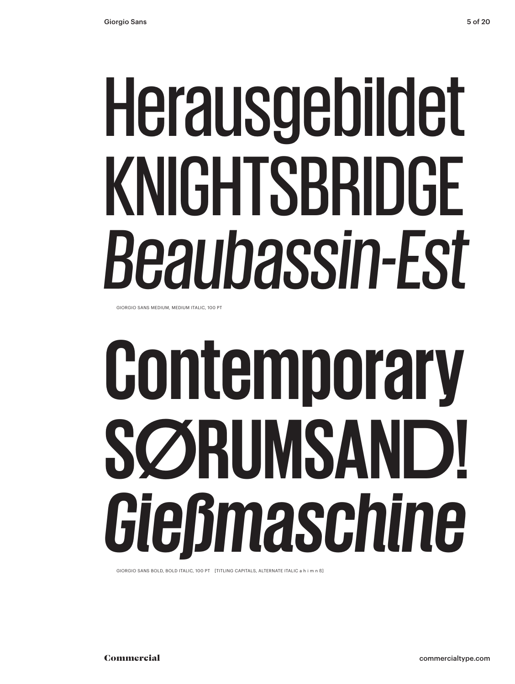# Herausgebildet KNIGHTSBRIDGE *Beaubassin-Est*

GIORGIO SANS MEDIUM, MEDIUM ITALIC, 100 PT

# **Contemporary SØRUMSAND!** *Gießmaschine*

GIORGIO SANS BOLD, BOLD ITALIC, 100 PT [TITLING CAPITALS, ALTERNATE ITALIC a h i m n ß]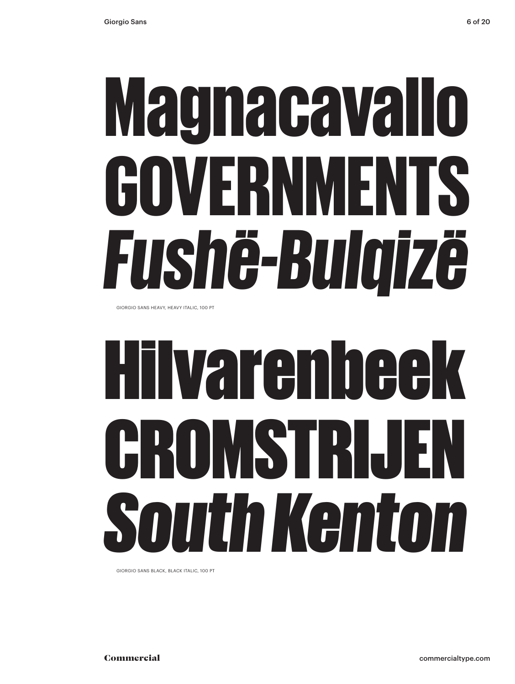# Magnacavallo GOVERNMENTS *Fushë-Bulqizë*

GIORGIO SANS HEAVY, HEAVY ITALIC, 100 PT

# Hilvarenbeek CROMSTRIJEN *South Kenton*

GIORGIO SANS BLACK, BLACK ITALIC, 100 PT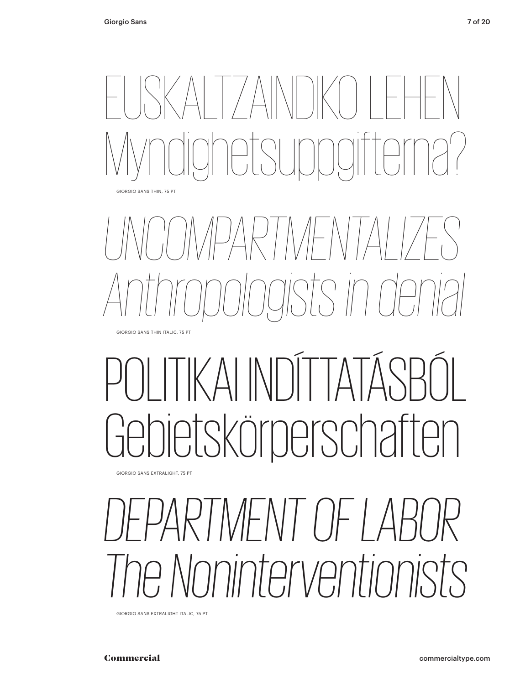



## KAI INDITTA ietskörperschaften

GIORGIO SANS EXTRALIGHT, 75 PT

#### *DEPARTMENT OF LABOR The Noninterventionists*

GIORGIO SANS EXTRALIGHT ITALIC, 75 PT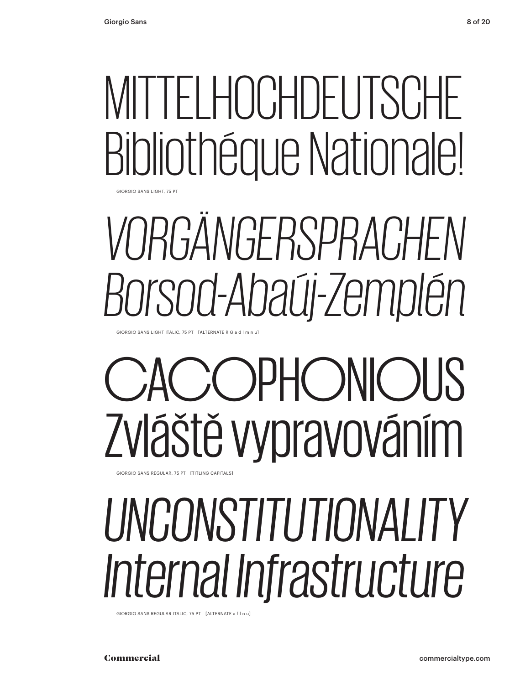## MITTELHOCHDEUTSCHE Bibliothéque Nationale!

GIORGIO SANS LIGHT, 75 PT

## *VORGÄNGERSPRACHEN Borsod-Abaúj-Zemplén*

GIORGIO SANS LIGHT ITALIC, 75 PT [ALTERNATE R G a d l m n u]

## **COPHONIOUS** Zvláště vypravováním

GIORGIO SANS REGULAR, 75 PT [TITLING CAPITALS]

### *UNCONSTITUTIONALITY Internal Infrastructure*

GIORGIO SANS REGULAR ITALIC, 75 PT [ALTERNATE a f l n u]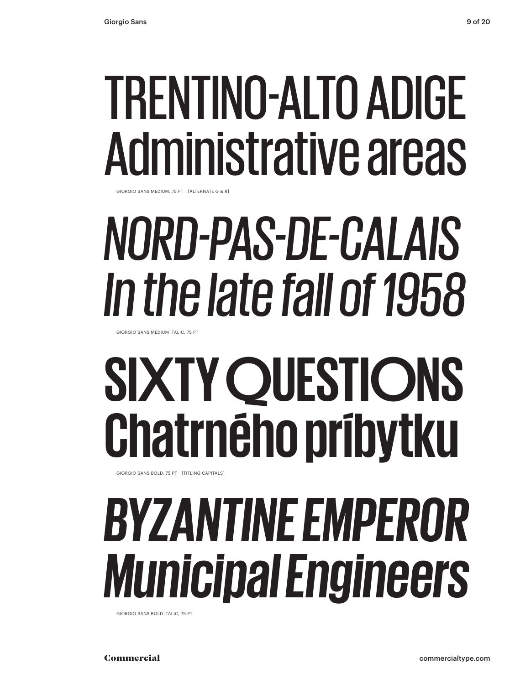## TRENTINO-ALTO ADIGE Administrative areas

GIORGIO SANS MEDIUM, 75 PT [ALTERNATE G & R]

## *NORD-PAS-DE-CALAIS In the late fall of 1958*

GIORGIO SANS MEDIUM ITALIC, 75 PT

## **SIXTY QUESTIONS Chatrného príbytku**

GIORGIO SANS BOLD, 75 PT [TITLING CAPITALS]

#### *BYZANTINE EMPEROR Municipal Engineers*

GIORGIO SANS BOLD ITALIC, 75 PT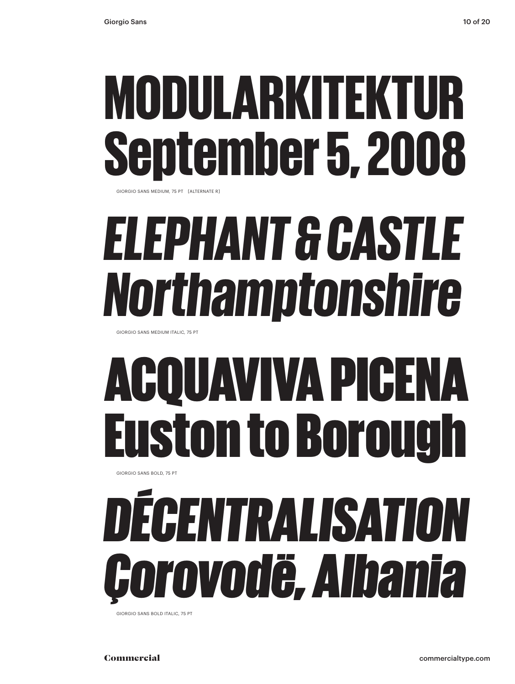### MODULARKITEKTUR September 5, 2008

GIORGIO SANS MEDIUM, 75 PT [ALTERNATE R]

## *ELEPHANT & CASTLE Northamptonshire*

GIORGIO SANS MEDIUM ITALIC, 75 PT

## ACQUAVIVA PICENA uston to Borou

GIORGIO SANS BOLD, 75 PT

## *DÉCENTRALISATION Çorovodë, Albania*

GIORGIO SANS BOLD ITALIC, 75 PT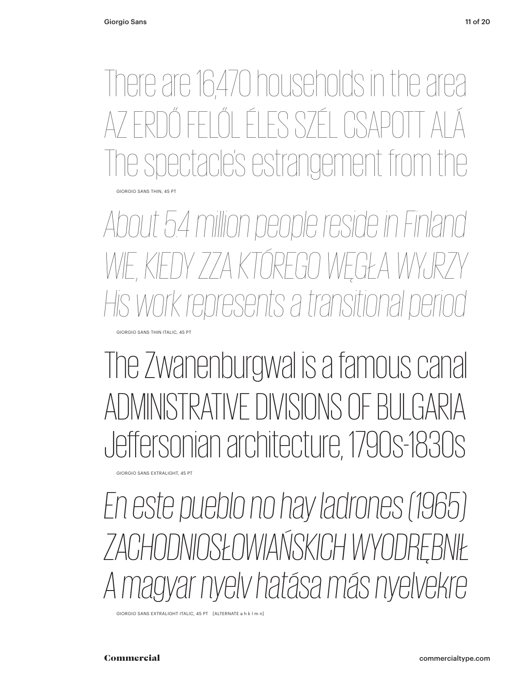There are 16,470 households in the area ŐLÉLES SZÉ rectacle's estrangement GIORGIO SANS THIN, 45 PT

*About 5.4 million people reside in Finland* WIE, KIEDY ZZA KTÓREGO WĘGŁA WYJ *His work represents a transitional period*

The Zwanenburgwal is a famous canal ADMINISTRATIVE DIVISIONS OF BULGARIA Jeffersonian architecture, 1790s-1830s

GIORGIO SANS EXTRALIGHT, 45 PT

GIORGIO SANS THIN ITALIC, 45 PT

*En este pueblo no hay ladrones (1965) ZACHODNIOSŁOWIAŃSKICH WYODRĘBNIŁ A magyar nyelv hatása más nyelvekre*

GIORGIO SANS EXTRALIGHT ITALIC, 45 PT [ALTERNATE a h k l m n]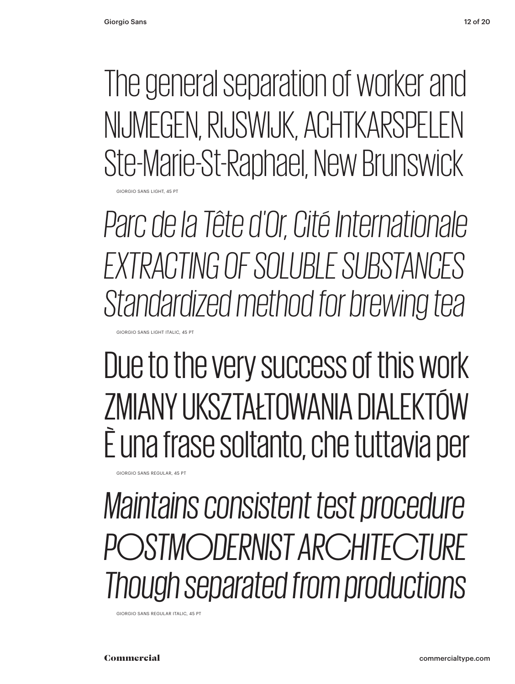The general separation of worker and NIJMEGEN, RIJSWIJK, ACHTKARSPELEN Ste-Marie-St-Raphael, New Brunswick **GIORGIO SANS LIGHT, 45 PT** 

*Parc de la Tête d'Or, Cité Internationale EXTRACTING OF SOLUBLE SUBSTANCES Standardized method for brewing tea*

Due to the very success of this work ZMIANY UKSZTAŁTOWANIA DIALEKTÓW È una frase soltanto, che tuttavia per

*Maintains consistent test procedure POSTMODERNIST ARCHITECTURE Though separated from productions*

GIORGIO SANS REGULAR ITALIC, 45 PT

GIORGIO SANS LIGHT ITALIC, 45 PT

GIORGIO SANS REGULAR, 45 PT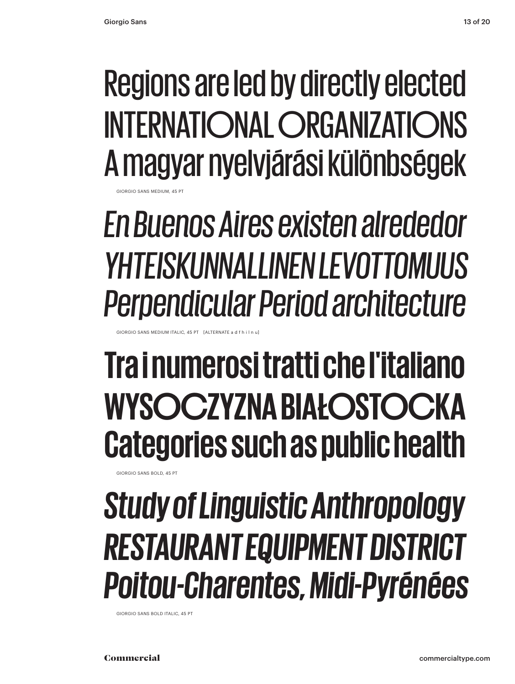#### Regions are led by directly elected INTERNATIONAL ORGANIZATIONS A magyar nyelvjárási különbségek

SIORGIO SANS MEDILIM, 45 PT

GIORGIO SANS MEDIUM ITALIC, 45 PT [ALTERNATE a d f h i l n

*En Buenos Aires existen alrededor YHTEISKUNNALLINEN LEVOTTOMUUS Perpendicular Period architecture*

#### **Tra i numerosi tratti che l'italiano WYSOCZYZNA BIAŁOSTOCKA Categories such as public health**

GIORGIO SANS BOLD, 45 PT

#### *Study of Linguistic Anthropology RESTAURANT EQUIPMENT DISTRICT Poitou-Charentes, Midi-Pyrénées*

GIORGIO SANS BOLD ITALIC, 45 PT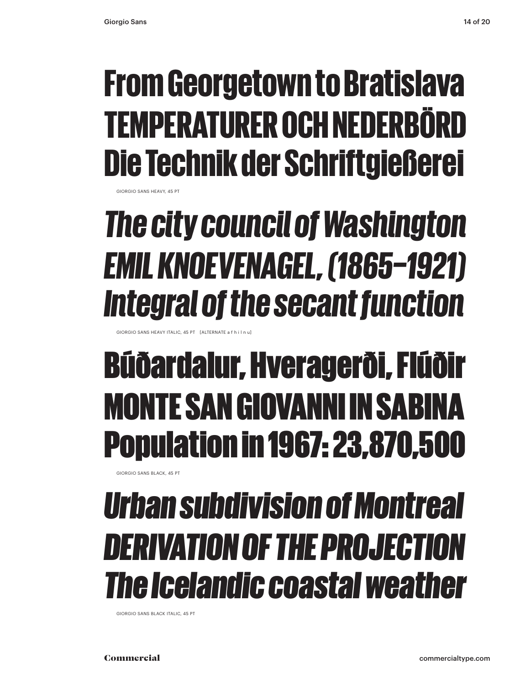#### From Georgetown to Bratislava TEMPERATURER OCH NEDERBÖRD Die Technik der Schriftgießerei

GIORGIO SANS HEAVY, 45 PT

#### *The city council of Washington EMIL KNOEVENAGEL, (1865–1921) Integral of the secant function*

GIORGIO SANS HEAVY ITALIC, 45 PT [ALTERNATE a f h i l n u]

#### Búðardalur, Hveragerði, Flúðir MONTE SAN GIOVANNI IN SAB Population in 1967: 23,870,500

GIORGIO SANS BLACK, 45 PT

#### *Urban subdivision of Montreal DERIVATION OF THE PROJECTION The Icelandic coastal weather*

GIORGIO SANS BLACK ITALIC, 45 PT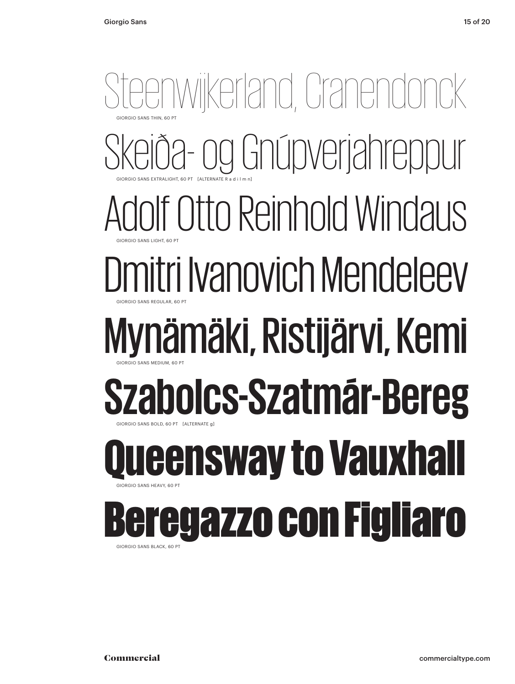#### Steenwijkerland, Cranendonck iða- og Gnúpverjahreppur Iolf Otto Reinhold Windaus Dmitri Ivanovich Mendeleev Mynämäki, Ristijärvi, Kemi **Szabolcs-Szatmár-Bereg** GIORGIO SANS EXTRALIGHT, 60 PT [ALTERNATE R a d i l m n] GIORGIO SANS THIN, 60 PT GIORGIO SANS REGULAR, 60 PT GIORGIO SANS LIGHT, 60 PT GIORGIO SANS BOLD, 60 PT [ALTERNATE g] GIORGIO SANS MEDIUM, 60 PT **Leensway to Vauxhall** GIORGIO SANS HEAVY, 60 PT egazzo con Figliaro

GIORGIO SANS BLACK, 60 PT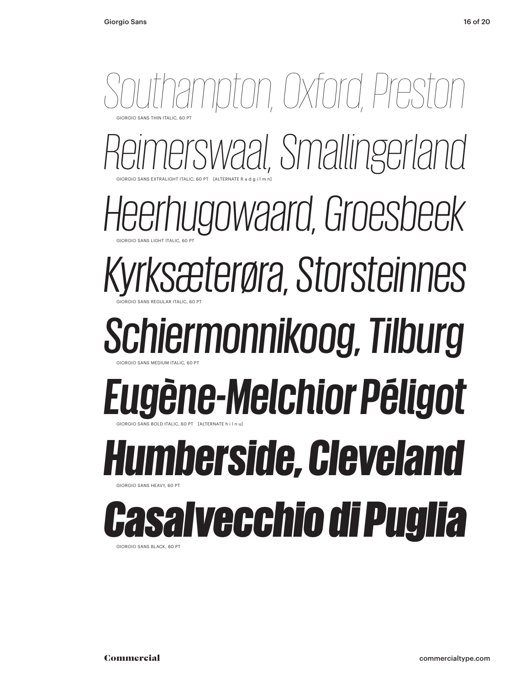

GIORGIO SANS BLACK, 60 PT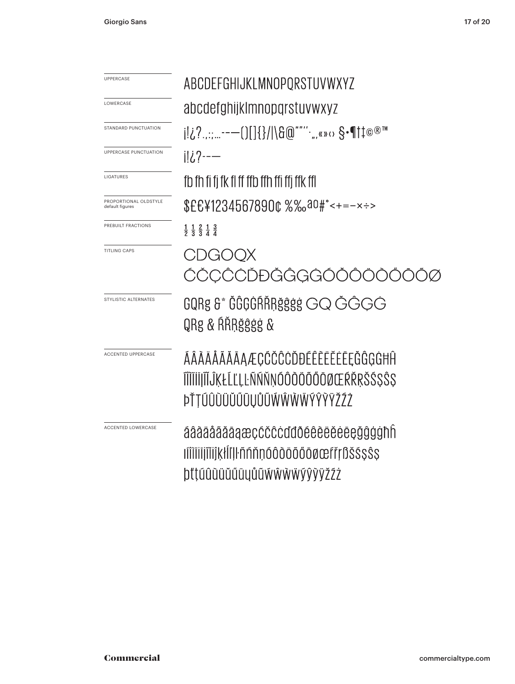| UPPERCASE                                | ABCDEFGHIJKLMNOPORSTUVWXYZ                                            |
|------------------------------------------|-----------------------------------------------------------------------|
| LOWERCASE                                | abcdefghijklmnopqrstuvwxyz                                            |
| STANDARD PUNCTUATION                     | j!¿?.,:;--—()[]{}/ \&@""'' <sub>"</sub> ,«» <sub></sub> ი §•¶†‡©®™    |
| <b>UPPERCASE PUNCTUATION</b>             | ili.?--—                                                              |
| LIGATURES                                | fb fh fi fi fk fl ff ffb ffh ffi ffi ffk ffl                          |
| PROPORTIONAL OLDSTYLE<br>default figures | \$£€¥1234567890¢%%aº#°<+=-×÷>                                         |
| PREBUILT FRACTIONS                       | $\frac{1}{2}$ $\frac{1}{3}$ $\frac{2}{3}$ $\frac{1}{4}$ $\frac{3}{4}$ |
| <b>TITLING CAPS</b>                      | CDGOOX                                                                |
|                                          | ŹČCĈĊĎĐĠĜGG000                                                        |
| STYLISTIC ALTERNATES                     | GQRg &* ĞĞGĞRŘRğĝġġ GQ ĞĞGĞ                                           |
|                                          | QRg & ŔŘRğĝġġ &                                                       |
| <b>ACCENTED UPPERCASE</b>                | ÁÂÀÄÅÃĂĀAÆÇĆČĈĊĎĐÉÊÈĔĖĖĘĞĜĢĠĦĤ                                        |
|                                          | ĨĨĨĬĬIJĨĬĴĶŁĹĽĻĿÑŃŇŅÓÔŎÖŐŐŎØŒŔŘŖŠŚŞŜŞ                                 |
|                                          | ÞŤŢÚÛÙÜŮŰŨŲŮŨŴŴŴŴÝŶŸŽŹŻ                                               |
| <b>ACCENTED LOWERCASE</b>                | áâàäååääaæçćčĉċďđðéêèëěėēęğĝġġħh                                      |
|                                          | ıíîìiiijîiijkłĺľ ŀñńňņóôòöőőōøœfřŗßš\$\$\$\$                          |
|                                          | þľtúûùüŭűūyůũẃŵẁẅýŷÿžźż                                               |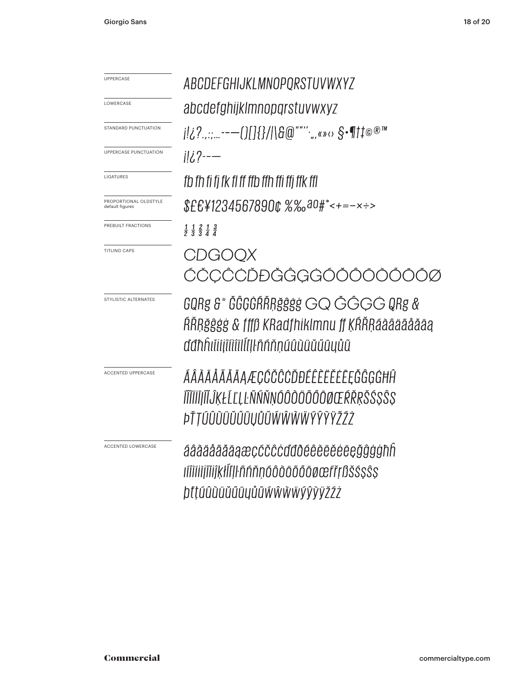| <b>UPPERCASE</b>                         | ABCDEFGHIJKLMNOPORSTUVWXYZ                                                                                              |
|------------------------------------------|-------------------------------------------------------------------------------------------------------------------------|
| LOWERCASE                                | abcdefghijklmnopgrstuvwxyz                                                                                              |
| STANDARD PUNCTUATION                     |                                                                                                                         |
| UPPERCASE PUNCTUATION                    | ili ?--—                                                                                                                |
| LIGATURES                                | fb fh fi fi fk fl ff ffb ffh ffi ffi ffk ffl                                                                            |
| PROPORTIONAL OLDSTYLE<br>default figures | $$EE412345678900 %\%030#+-~÷$                                                                                           |
| PREBUILT FRACTIONS                       | $\frac{1}{2}$ $\frac{1}{3}$ $\frac{2}{3}$ $\frac{1}{4}$ $\frac{3}{4}$                                                   |
| <b>TITLING CAPS</b>                      | CDGOOX                                                                                                                  |
|                                          | ĆČCĈCĎĐĞĜGGÓOOO                                                                                                         |
| STYLISTIC ALTERNATES                     | GQRg &* ĞĜĢĠŔŘŖğĝġġ GQ ĞĜĢĠ QRg &<br>ŔŘŖğĝġġ & fffß KRadfhiklmnu ff ĶŔŘŖáāâäãåăāą<br>ddhhiliiiiiiiiill!llñññnúûùüŭűūyůũ |
| ACCENTED UPPERCASE                       | ÁÂÀÄÅÃĂĀĄÆÇĆČĈĊĎĐÉÊÈĔĚĖĘĞĜĢĠĦĤ<br>ĨĨĬĬĬĬĨĨĴĶŁĹĽĻĿÑŃŇŅÓÔŎÖŐŐŌØŒŔŘŖŠŚ\$Ŝ\$<br>ÞŤŢŰÛŨŨŬŰŨŲŮŨŴŴŴŴŶŶŸŽŹŻ                     |
| ACCENTED LOWERCASE                       | áâãäåãăāaæçćčĉċďđðéêèëěėēęğĝģġħh<br>ıMiijiijiijkłlI lñńňnóôòöőőőøœfřrßš\$\$\$\$<br>þťtúûùüŭűūyůũẃŵẁẅýŷÿžźż              |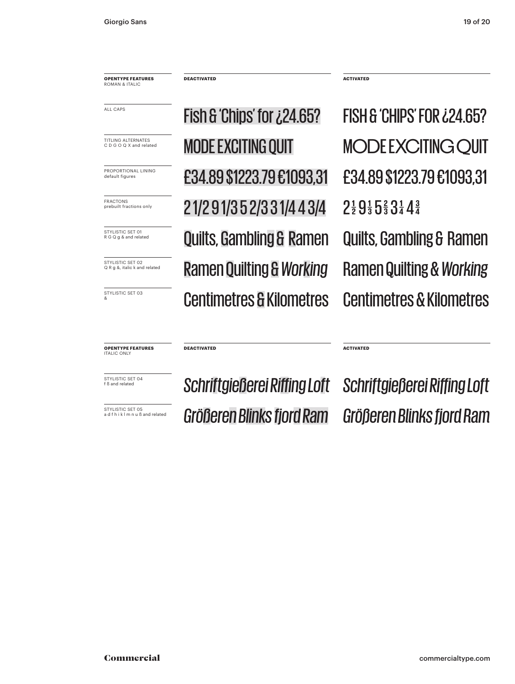**OPENTYPE FEATURES** ROMAN & ITALIC

&

**OPENTYPE FEATURES ITALIC ONLY** 

**Ramen Quilting & Working & Working** PROPORTIONAL LINING **E34.89 \$1223.79 £1093,31 E34.89 \$1223.79 £1093,31** FRACTONS ONly **21/2 91/3 5 2/3 3 1/4 4 3/4**  $2^{\frac{1}{2}}$  9  $^{\frac{1}{3}}$  5  $^{\frac{2}{3}}$  3  $^{\frac{1}{4}}$  4  $^{\frac{3}{4}}$ **MODE EXCITING OUIT** 

**DEACTIVATED ACTIVATED**

**STYLISTIC SET OI CUILTS, Gambling & Ramen Quilts, Gambling & Ramen Centimetres & Kilometres Centimetres & Kilometres**  $F\rightarrow$  Fish & 'Chips' for  $\zeta$ 24.65? All Fish & 'Chips' for  $\zeta$ 24.65? TITLING ALTERNATES **MODE EXCITING QUIT MODE EXCITING QUIT** 

**Schriftgießer Billing Loft** Schriftgießerei Riffing Loft Schriftgießerei Riffing Loft

**DEACTIVATED ACTIVATED**

**Größer os and related** *Größeren Blinks fjord Ram Größeren Blinks fjord Ram*